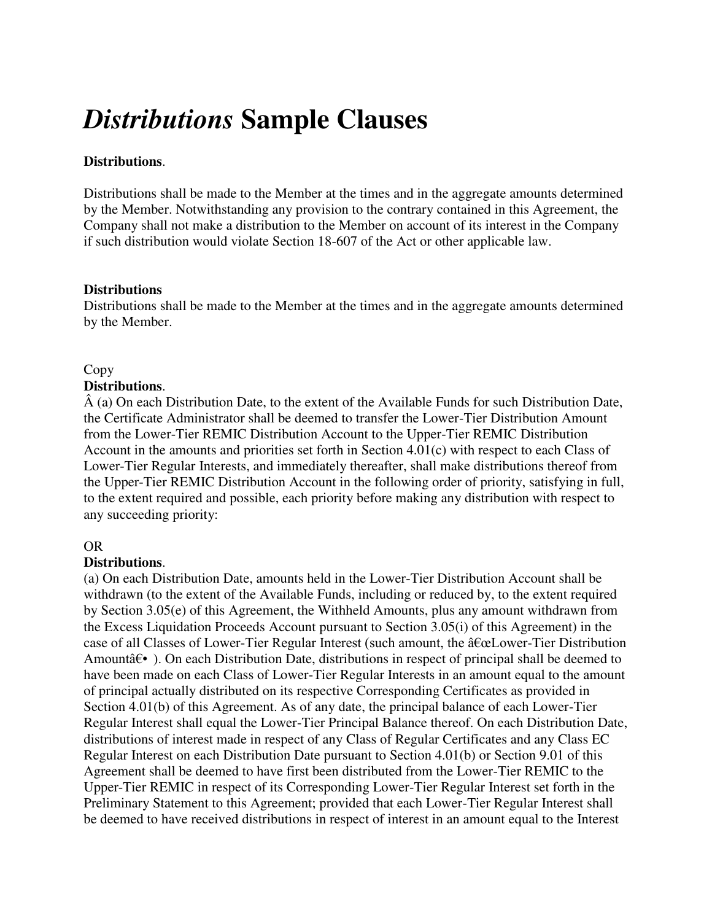# *Distributions* **Sample Clauses**

## **Distributions**.

Distributions shall be made to the Member at the times and in the aggregate amounts determined by the Member. Notwithstanding any provision to the contrary contained in this Agreement, the Company shall not make a distribution to the Member on account of its interest in the Company if such distribution would violate Section 18-607 of the Act or other applicable law.

#### **Distributions**

Distributions shall be made to the Member at the times and in the aggregate amounts determined by the Member.

## Copy

#### **Distributions**.

 $\hat{A}$  (a) On each Distribution Date, to the extent of the Available Funds for such Distribution Date, the Certificate Administrator shall be deemed to transfer the Lower-Tier Distribution Amount from the Lower-Tier REMIC Distribution Account to the Upper-Tier REMIC Distribution Account in the amounts and priorities set forth in Section 4.01(c) with respect to each Class of Lower-Tier Regular Interests, and immediately thereafter, shall make distributions thereof from the Upper-Tier REMIC Distribution Account in the following order of priority, satisfying in full, to the extent required and possible, each priority before making any distribution with respect to any succeeding priority:

## OR

## **Distributions**.

(a) On each Distribution Date, amounts held in the Lower-Tier Distribution Account shall be withdrawn (to the extent of the Available Funds, including or reduced by, to the extent required by Section 3.05(e) of this Agreement, the Withheld Amounts, plus any amount withdrawn from the Excess Liquidation Proceeds Account pursuant to Section 3.05(i) of this Agreement) in the case of all Classes of Lower-Tier Regular Interest (such amount, the  $\hat{a} \in \mathbb{C}$ Lower-Tier Distribution Amountâ€• ). On each Distribution Date, distributions in respect of principal shall be deemed to have been made on each Class of Lower-Tier Regular Interests in an amount equal to the amount of principal actually distributed on its respective Corresponding Certificates as provided in Section 4.01(b) of this Agreement. As of any date, the principal balance of each Lower-Tier Regular Interest shall equal the Lower-Tier Principal Balance thereof. On each Distribution Date, distributions of interest made in respect of any Class of Regular Certificates and any Class EC Regular Interest on each Distribution Date pursuant to Section 4.01(b) or Section 9.01 of this Agreement shall be deemed to have first been distributed from the Lower-Tier REMIC to the Upper-Tier REMIC in respect of its Corresponding Lower-Tier Regular Interest set forth in the Preliminary Statement to this Agreement; provided that each Lower-Tier Regular Interest shall be deemed to have received distributions in respect of interest in an amount equal to the Interest